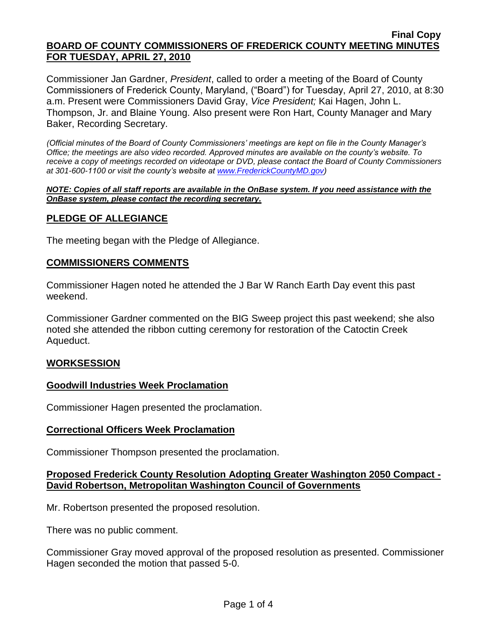#### **Final Copy BOARD OF COUNTY COMMISSIONERS OF FREDERICK COUNTY MEETING MINUTES FOR TUESDAY, APRIL 27, 2010**

Commissioner Jan Gardner, *President*, called to order a meeting of the Board of County Commissioners of Frederick County, Maryland, ("Board") for Tuesday, April 27, 2010, at 8:30 a.m. Present were Commissioners David Gray, *Vice President;* Kai Hagen, John L. Thompson, Jr. and Blaine Young. Also present were Ron Hart, County Manager and Mary Baker, Recording Secretary.

*(Official minutes of the Board of County Commissioners' meetings are kept on file in the County Manager's Office; the meetings are also video recorded. Approved minutes are available on the county's website. To receive a copy of meetings recorded on videotape or DVD, please contact the Board of County Commissioners at 301-600-1100 or visit the county's website at [www.FrederickCountyMD.gov\)](http://www.frederickcountymd.gov/)*

#### *NOTE: Copies of all staff reports are available in the OnBase system. If you need assistance with the OnBase system, please contact the recording secretary.*

# **PLEDGE OF ALLEGIANCE**

The meeting began with the Pledge of Allegiance.

## **COMMISSIONERS COMMENTS**

Commissioner Hagen noted he attended the J Bar W Ranch Earth Day event this past weekend.

Commissioner Gardner commented on the BIG Sweep project this past weekend; she also noted she attended the ribbon cutting ceremony for restoration of the Catoctin Creek Aqueduct.

## **WORKSESSION**

## **Goodwill Industries Week Proclamation**

Commissioner Hagen presented the proclamation.

### **Correctional Officers Week Proclamation**

Commissioner Thompson presented the proclamation.

## **Proposed Frederick County Resolution Adopting Greater Washington 2050 Compact - David Robertson, Metropolitan Washington Council of Governments**

Mr. Robertson presented the proposed resolution.

There was no public comment.

Commissioner Gray moved approval of the proposed resolution as presented. Commissioner Hagen seconded the motion that passed 5-0.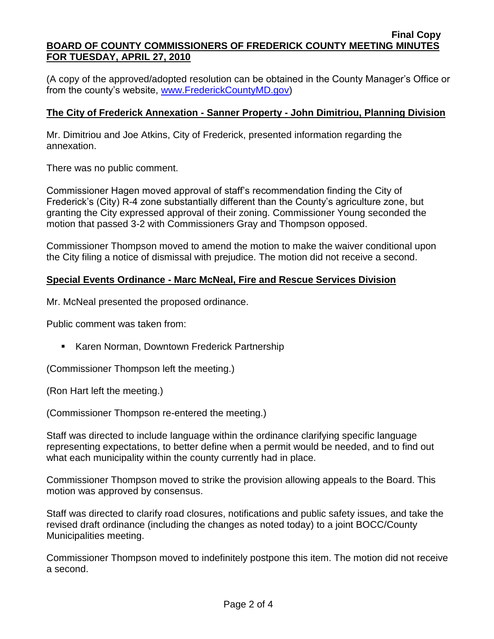#### **Final Copy BOARD OF COUNTY COMMISSIONERS OF FREDERICK COUNTY MEETING MINUTES FOR TUESDAY, APRIL 27, 2010**

(A copy of the approved/adopted resolution can be obtained in the County Manager's Office or from the county's website, [www.FrederickCountyMD.gov\)](http://www.frederickcountymd.gov/)

# **The City of Frederick Annexation - Sanner Property - John Dimitriou, Planning Division**

Mr. Dimitriou and Joe Atkins, City of Frederick, presented information regarding the annexation.

There was no public comment.

Commissioner Hagen moved approval of staff's recommendation finding the City of Frederick's (City) R-4 zone substantially different than the County's agriculture zone, but granting the City expressed approval of their zoning. Commissioner Young seconded the motion that passed 3-2 with Commissioners Gray and Thompson opposed.

Commissioner Thompson moved to amend the motion to make the waiver conditional upon the City filing a notice of dismissal with prejudice. The motion did not receive a second.

# **Special Events Ordinance - Marc McNeal, Fire and Rescue Services Division**

Mr. McNeal presented the proposed ordinance.

Public comment was taken from:

**Karen Norman, Downtown Frederick Partnership** 

(Commissioner Thompson left the meeting.)

(Ron Hart left the meeting.)

(Commissioner Thompson re-entered the meeting.)

Staff was directed to include language within the ordinance clarifying specific language representing expectations, to better define when a permit would be needed, and to find out what each municipality within the county currently had in place.

Commissioner Thompson moved to strike the provision allowing appeals to the Board. This motion was approved by consensus.

Staff was directed to clarify road closures, notifications and public safety issues, and take the revised draft ordinance (including the changes as noted today) to a joint BOCC/County Municipalities meeting.

Commissioner Thompson moved to indefinitely postpone this item. The motion did not receive a second.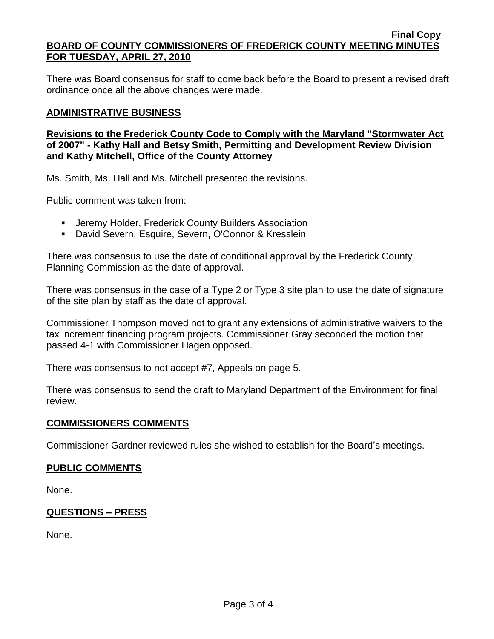There was Board consensus for staff to come back before the Board to present a revised draft ordinance once all the above changes were made.

## **ADMINISTRATIVE BUSINESS**

## **Revisions to the Frederick County Code to Comply with the Maryland "Stormwater Act of 2007" - Kathy Hall and Betsy Smith, Permitting and Development Review Division and Kathy Mitchell, Office of the County Attorney**

Ms. Smith, Ms. Hall and Ms. Mitchell presented the revisions.

Public comment was taken from:

- **E** Jeremy Holder, Frederick County Builders Association
- David Severn, Esquire, Severn**,** O'Connor & Kresslein

There was consensus to use the date of conditional approval by the Frederick County Planning Commission as the date of approval.

There was consensus in the case of a Type 2 or Type 3 site plan to use the date of signature of the site plan by staff as the date of approval.

Commissioner Thompson moved not to grant any extensions of administrative waivers to the tax increment financing program projects. Commissioner Gray seconded the motion that passed 4-1 with Commissioner Hagen opposed.

There was consensus to not accept #7, Appeals on page 5.

There was consensus to send the draft to Maryland Department of the Environment for final review.

### **COMMISSIONERS COMMENTS**

Commissioner Gardner reviewed rules she wished to establish for the Board's meetings.

### **PUBLIC COMMENTS**

None.

## **QUESTIONS – PRESS**

None.